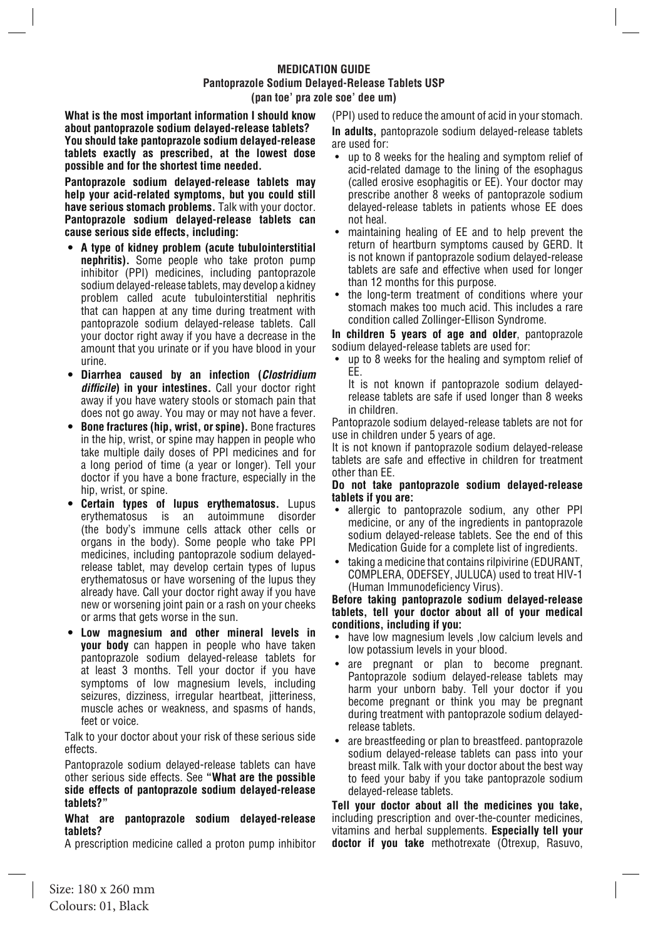## **MEDICATION GUIDE Pantoprazole Sodium Delayed-Release Tablets USP (pan toe' pra zole soe' dee um)**

**What is the most important information I should know about pantoprazole sodium delayed-release tablets? You should take pantoprazole sodium delayed-release tablets exactly as prescribed, at the lowest dose possible and for the shortest time needed.** 

**Pantoprazole sodium delayed-release tablets may help your acid-related symptoms, but you could still have serious stomach problems.** Talk with your doctor. **Pantoprazole sodium delayed-release tablets can cause serious side effects, including:** 

- **• A type of kidney problem (acute tubulointerstitial nephritis).** Some people who take proton pump inhibitor (PPI) medicines, including pantoprazole sodium delayed-release tablets, may develop a kidney problem called acute tubulointerstitial nephritis that can happen at any time during treatment with pantoprazole sodium delayed-release tablets. Call your doctor right away if you have a decrease in the amount that you urinate or if you have blood in your urine.
- **• Diarrhea caused by an infection (***Clostridium*  **difficile) in your intestines.** Call your doctor right away if you have watery stools or stomach pain that does not go away. You may or may not have a fever.
- **• Bone fractures (hip, wrist, or spine).** Bone fractures in the hip, wrist, or spine may happen in people who take multiple daily doses of PPI medicines and for a long period of time (a year or longer). Tell your doctor if you have a bone fracture, especially in the hip, wrist, or spine.
- **Certain types of lupus erythematosus.** Lupus erythematosus is an autoimmune disorder erythematosus (the body's immune cells attack other cells or organs in the body). Some people who take PPI medicines, including pantoprazole sodium delayedrelease tablet, may develop certain types of lupus erythematosus or have worsening of the lupus they already have. Call your doctor right away if you have new or worsening joint pain or a rash on your cheeks or arms that gets worse in the sun.
- **• Low magnesium and other mineral levels in your body** can happen in people who have taken pantoprazole sodium delayed-release tablets for at least 3 months. Tell your doctor if you have symptoms of low magnesium levels, including seizures, dizziness, irregular heartbeat, jitteriness, muscle aches or weakness, and spasms of hands, feet or voice.

Talk to your doctor about your risk of these serious side effects.

Pantoprazole sodium delayed-release tablets can have other serious side effects. See **"What are the possible side effects of pantoprazole sodium delayed-release tablets?"**

## **What are pantoprazole sodium delayed-release tablets?**

A prescription medicine called a proton pump inhibitor

(PPI) used to reduce the amount of acid in your stomach.

**In adults,** pantoprazole sodium delayed-release tablets are used for:

- up to 8 weeks for the healing and symptom relief of acid-related damage to the lining of the esophagus (called erosive esophagitis or EE). Your doctor may prescribe another 8 weeks of pantoprazole sodium delayed-release tablets in patients whose EE does not heal.
- maintaining healing of EE and to help prevent the return of heartburn symptoms caused by GERD. It is not known if pantoprazole sodium delayed-release tablets are safe and effective when used for longer than 12 months for this purpose.
- the long-term treatment of conditions where your stomach makes too much acid. This includes a rare condition called Zollinger-Ellison Syndrome.

**In children 5 years of age and older**, pantoprazole sodium delayed-release tablets are used for:

• up to 8 weeks for the healing and symptom relief of EE.

It is not known if pantoprazole sodium delayedrelease tablets are safe if used longer than 8 weeks in children.

Pantoprazole sodium delayed-release tablets are not for use in children under 5 years of age.

It is not known if pantoprazole sodium delayed-release tablets are safe and effective in children for treatment other than EE.

### **Do not take pantoprazole sodium delayed-release tablets if you are:**

- allergic to pantoprazole sodium, any other PPI medicine, or any of the ingredients in pantoprazole sodium delayed-release tablets. See the end of this Medication Guide for a complete list of ingredients.
- taking a medicine that contains rilpivirine (EDURANT, COMPLERA, ODEFSEY, JULUCA) used to treat HIV-1 (Human Immunodeficiency Virus).

#### **Before taking pantoprazole sodium delayed-release tablets, tell your doctor about all of your medical conditions, including if you:**

- have low magnesium levels ,low calcium levels and low potassium levels in your blood.
- are pregnant or plan to become pregnant. Pantoprazole sodium delayed-release tablets may harm your unborn baby. Tell your doctor if you become pregnant or think you may be pregnant during treatment with pantoprazole sodium delayedrelease tablets.
- are breastfeeding or plan to breastfeed. pantoprazole sodium delayed-release tablets can pass into your breast milk. Talk with your doctor about the best way to feed your baby if you take pantoprazole sodium delayed-release tablets.

**Tell your doctor about all the medicines you take,** including prescription and over-the-counter medicines, vitamins and herbal supplements. **Especially tell your doctor if you take** methotrexate (Otrexup, Rasuvo,